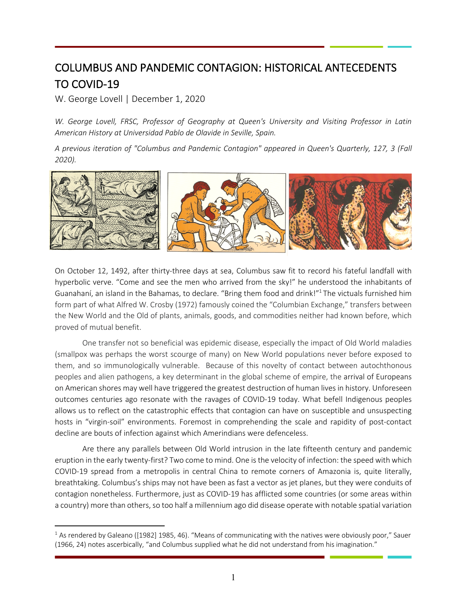# COLUMBUS AND PANDEMIC CONTAGION: HISTORICAL ANTECEDENTS TO COVID-19

W. George Lovell | December 1, 2020

*W. George Lovell, FRSC, Professor of Geography at Queen's University and Visiting Professor in Latin American History at Universidad Pablo de Olavide in Seville, Spain.*

*A previous iteration of "Columbus and Pandemic Contagion" appeared in Queen's Quarterly, 127, 3 (Fall 2020).*



On October 12, 1492, after thirty-three days at sea, Columbus saw fit to record his fateful landfall with hyperbolic verve. "Come and see the men who arrived from the sky!" he understood the inhabitants of Guanahaní, an island in the Bahamas, to declare. "Bring them food and drink!"<sup>1</sup> The victuals furnished him form part of what Alfred W. Crosby (1972) famously coined the "Columbian Exchange," transfers between the New World and the Old of plants, animals, goods, and commodities neither had known before, which proved of mutual benefit.

One transfer not so beneficial was epidemic disease, especially the impact of Old World maladies (smallpox was perhaps the worst scourge of many) on New World populations never before exposed to them, and so immunologically vulnerable. Because of this novelty of contact between autochthonous peoples and alien pathogens, a key determinant in the global scheme of empire, the arrival of Europeans on American shores may well have triggered the greatest destruction of human lives in history. Unforeseen outcomes centuries ago resonate with the ravages of COVID-19 today. What befell Indigenous peoples allows us to reflect on the catastrophic effects that contagion can have on susceptible and unsuspecting hosts in "virgin-soil" environments. Foremost in comprehending the scale and rapidity of post-contact decline are bouts of infection against which Amerindians were defenceless.

Are there any parallels between Old World intrusion in the late fifteenth century and pandemic eruption in the early twenty-first? Two come to mind. One is the velocity of infection: the speed with which COVID-19 spread from a metropolis in central China to remote corners of Amazonia is, quite literally, breathtaking. Columbus's ships may not have been as fast a vector as jet planes, but they were conduits of contagion nonetheless. Furthermore, just as COVID-19 has afflicted some countries (or some areas within a country) more than others, so too half a millennium ago did disease operate with notable spatial variation

 $1$  As rendered by Galeano ([1982] 1985, 46). "Means of communicating with the natives were obviously poor," Sauer (1966, 24) notes ascerbically, "and Columbus supplied what he did not understand from his imagination."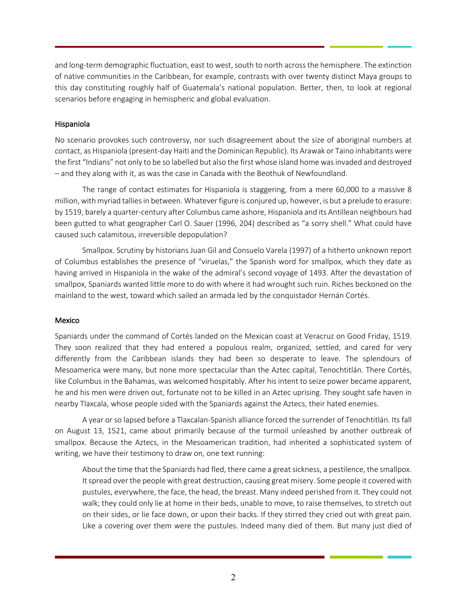and long-term demographic fluctuation, east to west, south to north across the hemisphere. The extinction of native communities in the Caribbean, for example, contrasts with over twenty distinct Maya groups to this day constituting roughly half of Guatemala's national population. Better, then, to look at regional scenarios before engaging in hemispheric and global evaluation.

# Hispaniola

No scenario provokes such controversy, nor such disagreement about the size of aboriginal numbers at contact, as Hispaniola (present-day Haiti and the Dominican Republic). Its Arawak or Taino inhabitants were the first "Indians" not only to be so labelled but also the first whose island home was invaded and destroyed – and they along with it, as was the case in Canada with the Beothuk of Newfoundland.

The range of contact estimates for Hispaniola is staggering, from a mere 60,000 to a massive 8 million, with myriad tallies in between. Whatever figure is conjured up, however, is but a prelude to erasure: by 1519, barely a quarter-century after Columbus came ashore, Hispaniola and its Antillean neighbours had been gutted to what geographer Carl O. Sauer (1996, 204) described as "a sorry shell." What could have caused such calamitous, irreversible depopulation?

Smallpox. Scrutiny by historians Juan Gil and Consuelo Varela (1997) of a hitherto unknown report of Columbus establishes the presence of "viruelas," the Spanish word for smallpox, which they date as having arrived in Hispaniola in the wake of the admiral's second voyage of 1493. After the devastation of smallpox, Spaniards wanted little more to do with where it had wrought such ruin. Riches beckoned on the mainland to the west, toward which sailed an armada led by the conquistador Hernán Cortés.

## Mexico

Spaniards under the command of Cortés landed on the Mexican coast at Veracruz on Good Friday, 1519. They soon realized that they had entered a populous realm, organized, settled, and cared for very differently from the Caribbean islands they had been so desperate to leave. The splendours of Mesoamerica were many, but none more spectacular than the Aztec capital, Tenochtitlán. There Cortés, like Columbus in the Bahamas, was welcomed hospitably. After his intent to seize power became apparent, he and his men were driven out, fortunate not to be killed in an Aztec uprising. They sought safe haven in nearby Tlaxcala, whose people sided with the Spaniards against the Aztecs, their hated enemies.

A year or so lapsed before a Tlaxcalan-Spanish alliance forced the surrender of Tenochtitlán. Its fall on August 13, 1521, came about primarily because of the turmoil unleashed by another outbreak of smallpox. Because the Aztecs, in the Mesoamerican tradition, had inherited a sophisticated system of writing, we have their testimony to draw on, one text running:

About the time that the Spaniards had fled, there came a great sickness, a pestilence, the smallpox. It spread over the people with great destruction, causing great misery. Some people it covered with pustules, everywhere, the face, the head, the breast. Many indeed perished from it. They could not walk; they could only lie at home in their beds, unable to move, to raise themselves, to stretch out on their sides, or lie face down, or upon their backs. If they stirred they cried out with great pain. Like a covering over them were the pustules. Indeed many died of them. But many just died of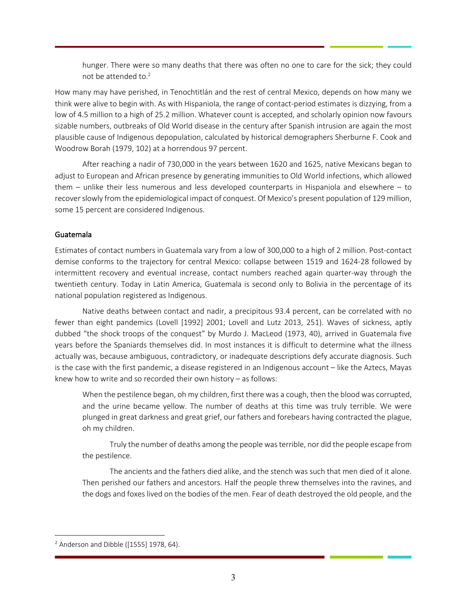hunger. There were so many deaths that there was often no one to care for the sick; they could not be attended to. 2

How many may have perished, in Tenochtitlán and the rest of central Mexico, depends on how many we think were alive to begin with. As with Hispaniola, the range of contact-period estimates is dizzying, from a low of 4.5 million to a high of 25.2 million. Whatever count is accepted, and scholarly opinion now favours sizable numbers, outbreaks of Old World disease in the century after Spanish intrusion are again the most plausible cause of Indigenous depopulation, calculated by historical demographers Sherburne F. Cook and Woodrow Borah (1979, 102) at a horrendous 97 percent.

After reaching a nadir of 730,000 in the years between 1620 and 1625, native Mexicans began to adjust to European and African presence by generating immunities to Old World infections, which allowed them – unlike their less numerous and less developed counterparts in Hispaniola and elsewhere – to recover slowly from the epidemiological impact of conquest. Of Mexico's present population of 129 million, some 15 percent are considered Indigenous.

## Guatemala

Estimates of contact numbers in Guatemala vary from a low of 300,000 to a high of 2 million. Post-contact demise conforms to the trajectory for central Mexico: collapse between 1519 and 1624-28 followed by intermittent recovery and eventual increase, contact numbers reached again quarter-way through the twentieth century. Today in Latin America, Guatemala is second only to Bolivia in the percentage of its national population registered as Indigenous.

Native deaths between contact and nadir, a precipitous 93.4 percent, can be correlated with no fewer than eight pandemics (Lovell [1992] 2001; Lovell and Lutz 2013, 251). Waves of sickness, aptly dubbed "the shock troops of the conquest" by Murdo J. MacLeod (1973, 40), arrived in Guatemala five years before the Spaniards themselves did. In most instances it is difficult to determine what the illness actually was, because ambiguous, contradictory, or inadequate descriptions defy accurate diagnosis. Such is the case with the first pandemic, a disease registered in an Indigenous account – like the Aztecs, Mayas knew how to write and so recorded their own history – as follows:

When the pestilence began, oh my children, first there was a cough, then the blood was corrupted, and the urine became yellow. The number of deaths at this time was truly terrible. We were plunged in great darkness and great grief, our fathers and forebears having contracted the plague, oh my children.

Truly the number of deaths among the people was terrible, nor did the people escape from the pestilence.

The ancients and the fathers died alike, and the stench was such that men died of it alone. Then perished our fathers and ancestors. Half the people threw themselves into the ravines, and the dogs and foxes lived on the bodies of the men. Fear of death destroyed the old people, and the

 $2$  Anderson and Dibble ([1555] 1978, 64).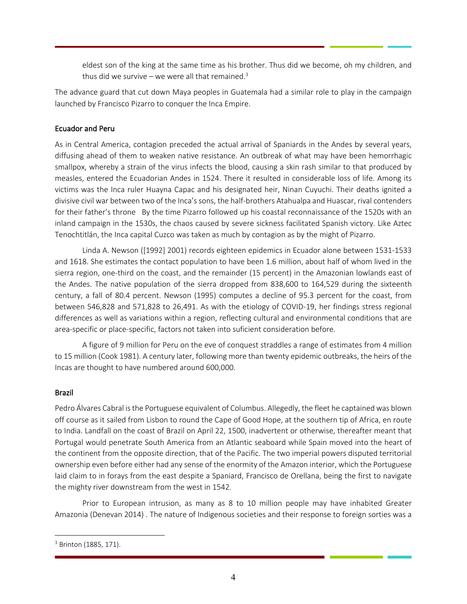eldest son of the king at the same time as his brother. Thus did we become, oh my children, and thus did we survive – we were all that remained.<sup>3</sup>

The advance guard that cut down Maya peoples in Guatemala had a similar role to play in the campaign launched by Francisco Pizarro to conquer the Inca Empire.

## Ecuador and Peru

As in Central America, contagion preceded the actual arrival of Spaniards in the Andes by several years, diffusing ahead of them to weaken native resistance. An outbreak of what may have been hemorrhagic smallpox, whereby a strain of the virus infects the blood, causing a skin rash similar to that produced by measles, entered the Ecuadorian Andes in 1524. There it resulted in considerable loss of life. Among its victims was the Inca ruler Huayna Capac and his designated heir, Ninan Cuyuchi. Their deaths ignited a divisive civil war between two of the Inca's sons, the half-brothers Atahualpa and Huascar, rival contenders for their father's throne By the time Pizarro followed up his coastal reconnaissance of the 1520s with an inland campaign in the 1530s, the chaos caused by severe sickness facilitated Spanish victory. Like Aztec Tenochtitlán, the Inca capital Cuzco was taken as much by contagion as by the might of Pizarro.

Linda A. Newson ([1992] 2001) records eighteen epidemics in Ecuador alone between 1531-1533 and 1618. She estimates the contact population to have been 1.6 million, about half of whom lived in the sierra region, one-third on the coast, and the remainder (15 percent) in the Amazonian lowlands east of the Andes. The native population of the sierra dropped from 838,600 to 164,529 during the sixteenth century, a fall of 80.4 percent. Newson (1995) computes a decline of 95.3 percent for the coast, from between 546,828 and 571,828 to 26,491. As with the etiology of COVID-19, her findings stress regional differences as well as variations within a region, reflecting cultural and environmental conditions that are area-specific or place-specific, factors not taken into suficient consideration before.

A figure of 9 million for Peru on the eve of conquest straddles a range of estimates from 4 million to 15 million (Cook 1981). A century later, following more than twenty epidemic outbreaks, the heirs of the Incas are thought to have numbered around 600,000.

#### Brazil

Pedro Álvares Cabral isthe Portuguese equivalent of Columbus. Allegedly, the fleet he captained was blown off course as it sailed from Lisbon to round the Cape of Good Hope, at the southern tip of Africa, en route to India. Landfall on the coast of Brazil on April 22, 1500, inadvertent or otherwise, thereafter meant that Portugal would penetrate South America from an Atlantic seaboard while Spain moved into the heart of the continent from the opposite direction, that of the Pacific. The two imperial powers disputed territorial ownership even before either had any sense of the enormity of the Amazon interior, which the Portuguese laid claim to in forays from the east despite a Spaniard, Francisco de Orellana, being the first to navigate the mighty river downstream from the west in 1542.

Prior to European intrusion, as many as 8 to 10 million people may have inhabited Greater Amazonia (Denevan 2014) . The nature of Indigenous societies and their response to foreign sorties was a

<sup>&</sup>lt;sup>3</sup> Brinton (1885, 171).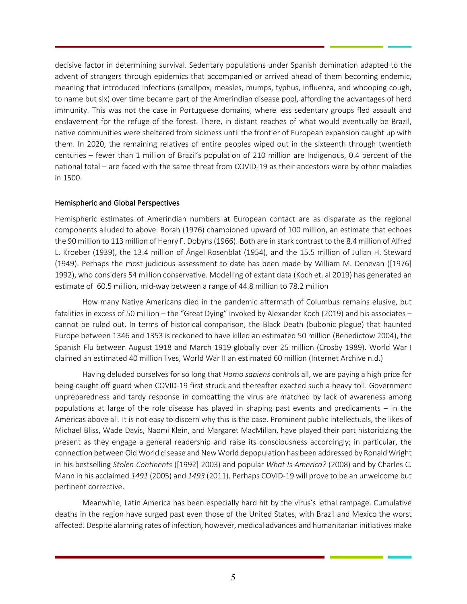decisive factor in determining survival. Sedentary populations under Spanish domination adapted to the advent of strangers through epidemics that accompanied or arrived ahead of them becoming endemic, meaning that introduced infections (smallpox, measles, mumps, typhus, influenza, and whooping cough, to name but six) over time became part of the Amerindian disease pool, affording the advantages of herd immunity. This was not the case in Portuguese domains, where less sedentary groups fled assault and enslavement for the refuge of the forest. There, in distant reaches of what would eventually be Brazil, native communities were sheltered from sickness until the frontier of European expansion caught up with them. In 2020, the remaining relatives of entire peoples wiped out in the sixteenth through twentieth centuries – fewer than 1 million of Brazil's population of 210 million are Indigenous, 0.4 percent of the national total – are faced with the same threat from COVID-19 as their ancestors were by other maladies in 1500.

#### Hemispheric and Global Perspectives

Hemispheric estimates of Amerindian numbers at European contact are as disparate as the regional components alluded to above. Borah (1976) championed upward of 100 million, an estimate that echoes the 90 million to 113 million of Henry F. Dobyns(1966). Both are in stark contrast to the 8.4 million of Alfred L. Kroeber (1939), the 13.4 million of Ángel Rosenblat (1954), and the 15.5 million of Julian H. Steward (1949). Perhaps the most judicious assessment to date has been made by William M. Denevan ([1976] 1992), who considers 54 million conservative. Modelling of extant data (Koch et. al 2019) has generated an estimate of 60.5 million, mid-way between a range of 44.8 million to 78.2 million

How many Native Americans died in the pandemic aftermath of Columbus remains elusive, but fatalities in excess of 50 million – the "Great Dying" invoked by Alexander Koch (2019) and his associates – cannot be ruled out. In terms of historical comparison, the Black Death (bubonic plague) that haunted Europe between 1346 and 1353 is reckoned to have killed an estimated 50 million (Benedictow 2004), the Spanish Flu between August 1918 and March 1919 globally over 25 million (Crosby 1989). World War I claimed an estimated 40 million lives, World War II an estimated 60 million (Internet Archive n.d.)

Having deluded ourselves for so long that *Homo sapiens* controls all, we are paying a high price for being caught off guard when COVID-19 first struck and thereafter exacted such a heavy toll. Government unpreparedness and tardy response in combatting the virus are matched by lack of awareness among populations at large of the role disease has played in shaping past events and predicaments – in the Americas above all. It is not easy to discern why this is the case. Prominent public intellectuals, the likes of Michael Bliss, Wade Davis, Naomi Klein, and Margaret MacMillan, have played their part historicizing the present as they engage a general readership and raise its consciousness accordingly; in particular, the connection between Old World disease and New World depopulation has been addressed by Ronald Wright in his bestselling *Stolen Continents* ([1992] 2003) and popular *What Is America?* (2008) and by Charles C. Mann in his acclaimed *1491* (2005) and *1493* (2011). Perhaps COVID-19 will prove to be an unwelcome but pertinent corrective.

Meanwhile, Latin America has been especially hard hit by the virus's lethal rampage. Cumulative deaths in the region have surged past even those of the United States, with Brazil and Mexico the worst affected. Despite alarming rates of infection, however, medical advances and humanitarian initiatives make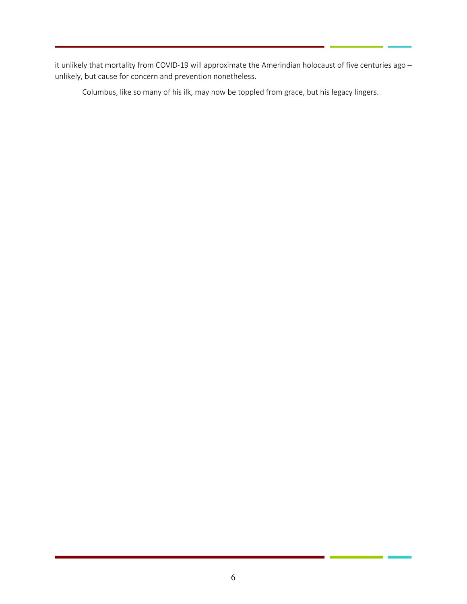it unlikely that mortality from COVID-19 will approximate the Amerindian holocaust of five centuries ago – unlikely, but cause for concern and prevention nonetheless.

Columbus, like so many of his ilk, may now be toppled from grace, but his legacy lingers.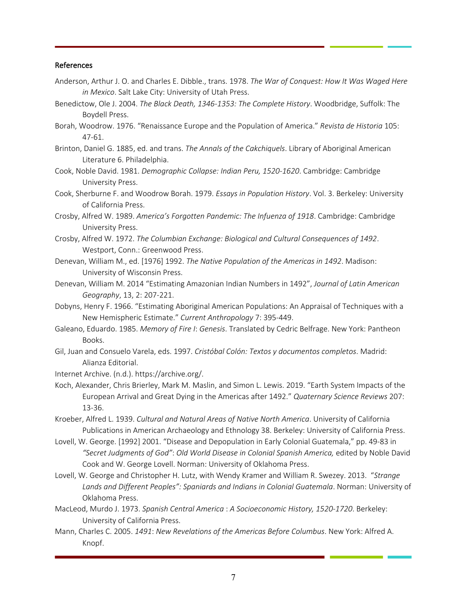#### References

- Anderson, Arthur J. O. and Charles E. Dibble., trans. 1978. *The War of Conquest: How It Was Waged Here in Mexico*. Salt Lake City: University of Utah Press.
- Benedictow, Ole J. 2004. *The Black Death, 1346-1353: The Complete History*. Woodbridge, Suffolk: The Boydell Press.
- Borah, Woodrow. 1976. "Renaissance Europe and the Population of America." *Revista de Historia* 105: 47-61.
- Brinton, Daniel G. 1885, ed. and trans. *The Annals of the Cakchiquels*. Library of Aboriginal American Literature 6. Philadelphia.
- Cook, Noble David. 1981. *Demographic Collapse: Indian Peru, 1520-1620*. Cambridge: Cambridge University Press.
- Cook, Sherburne F. and Woodrow Borah. 1979. *Essays in Population History*. Vol. 3. Berkeley: University of California Press.
- Crosby, Alfred W. 1989. *America's Forgotten Pandemic: The Infuenza of 1918*. Cambridge: Cambridge University Press.
- Crosby, Alfred W. 1972. *The Columbian Exchange: Biological and Cultural Consequences of 1492*. Westport, Conn.: Greenwood Press.
- Denevan, William M., ed. [1976] 1992. *The Native Population of the Americas in 1492*. Madison: University of Wisconsin Press.
- Denevan, William M. 2014 "Estimating Amazonian Indian Numbers in 1492", *Journal of Latin American Geography*, 13, 2: 207-221.
- Dobyns, Henry F. 1966. "Estimating Aboriginal American Populations: An Appraisal of Techniques with a New Hemispheric Estimate." *Current Anthropology* 7: 395-449.
- Galeano, Eduardo. 1985. *Memory of Fire I*: *Genesis*. Translated by Cedric Belfrage. New York: Pantheon Books.
- Gil, Juan and Consuelo Varela, eds. 1997. *Cristóbal Colón: Textos y documentos completos*. Madrid: Alianza Editorial.

Internet Archive. (n.d.). https://archive.org/.

- Koch, Alexander, Chris Brierley, Mark M. Maslin, and Simon L. Lewis. 2019. "Earth System Impacts of the European Arrival and Great Dying in the Americas after 1492." *Quaternary Science Reviews* 207: 13-36.
- Kroeber, Alfred L. 1939. *Cultural and Natural Areas of Native North America*. University of California Publications in American Archaeology and Ethnology 38. Berkeley: University of California Press.
- Lovell, W. George. [1992] 2001. "Disease and Depopulation in Early Colonial Guatemala," pp. 49-83 in *"Secret Judgments of God"*: *Old World Disease in Colonial Spanish America,* edited by Noble David Cook and W. George Lovell. Norman: University of Oklahoma Press.
- Lovell, W. George and Christopher H. Lutz, with Wendy Kramer and William R. Swezey. 2013. "*Strange*  Lands and Different Peoples": Spaniards and Indians in Colonial Guatemala. Norman: University of Oklahoma Press.
- MacLeod, Murdo J. 1973. *Spanish Central America* : *A Socioeconomic History, 1520-1720*. Berkeley: University of California Press.
- Mann, Charles C. 2005. *1491*: *New Revelations of the Americas Before Columbus*. New York: Alfred A. Knopf.